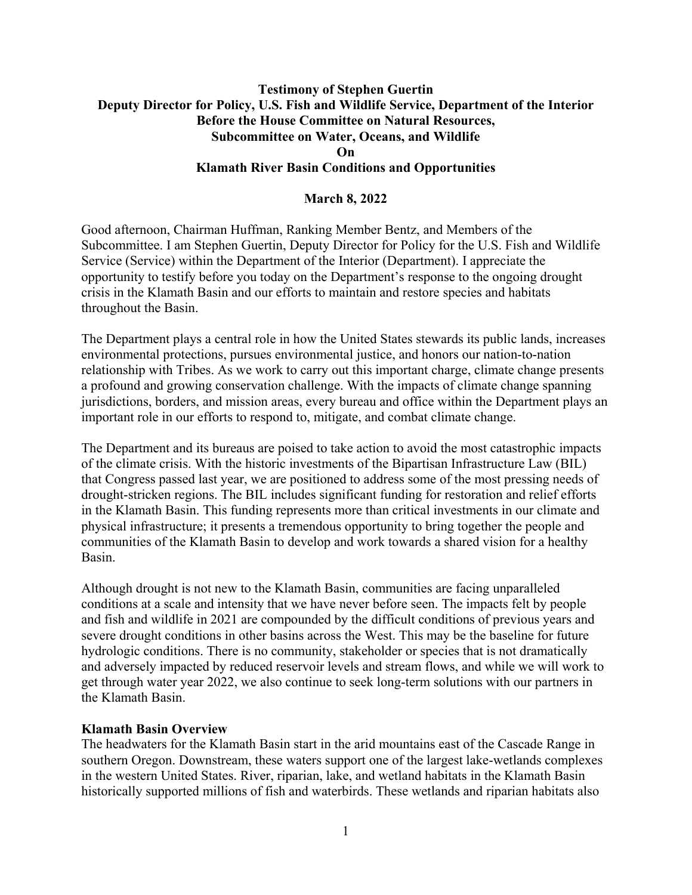# **Testimony of Stephen Guertin Deputy Director for Policy, U.S. Fish and Wildlife Service, Department of the Interior Before the House Committee on Natural Resources, Subcommittee on Water, Oceans, and Wildlife On Klamath River Basin Conditions and Opportunities**

## **March 8, 2022**

Good afternoon, Chairman Huffman, Ranking Member Bentz, and Members of the Subcommittee. I am Stephen Guertin, Deputy Director for Policy for the U.S. Fish and Wildlife Service (Service) within the Department of the Interior (Department). I appreciate the opportunity to testify before you today on the Department's response to the ongoing drought crisis in the Klamath Basin and our efforts to maintain and restore species and habitats throughout the Basin.

The Department plays a central role in how the United States stewards its public lands, increases environmental protections, pursues environmental justice, and honors our nation-to-nation relationship with Tribes. As we work to carry out this important charge, climate change presents a profound and growing conservation challenge. With the impacts of climate change spanning jurisdictions, borders, and mission areas, every bureau and office within the Department plays an important role in our efforts to respond to, mitigate, and combat climate change.

The Department and its bureaus are poised to take action to avoid the most catastrophic impacts of the climate crisis. With the historic investments of the Bipartisan Infrastructure Law (BIL) that Congress passed last year, we are positioned to address some of the most pressing needs of drought-stricken regions. The BIL includes significant funding for restoration and relief efforts in the Klamath Basin. This funding represents more than critical investments in our climate and physical infrastructure; it presents a tremendous opportunity to bring together the people and communities of the Klamath Basin to develop and work towards a shared vision for a healthy Basin.

Although drought is not new to the Klamath Basin, communities are facing unparalleled conditions at a scale and intensity that we have never before seen. The impacts felt by people and fish and wildlife in 2021 are compounded by the difficult conditions of previous years and severe drought conditions in other basins across the West. This may be the baseline for future hydrologic conditions. There is no community, stakeholder or species that is not dramatically and adversely impacted by reduced reservoir levels and stream flows, and while we will work to get through water year 2022, we also continue to seek long-term solutions with our partners in the Klamath Basin.

#### **Klamath Basin Overview**

The headwaters for the Klamath Basin start in the arid mountains east of the Cascade Range in southern Oregon. Downstream, these waters support one of the largest lake-wetlands complexes in the western United States. River, riparian, lake, and wetland habitats in the Klamath Basin historically supported millions of fish and waterbirds. These wetlands and riparian habitats also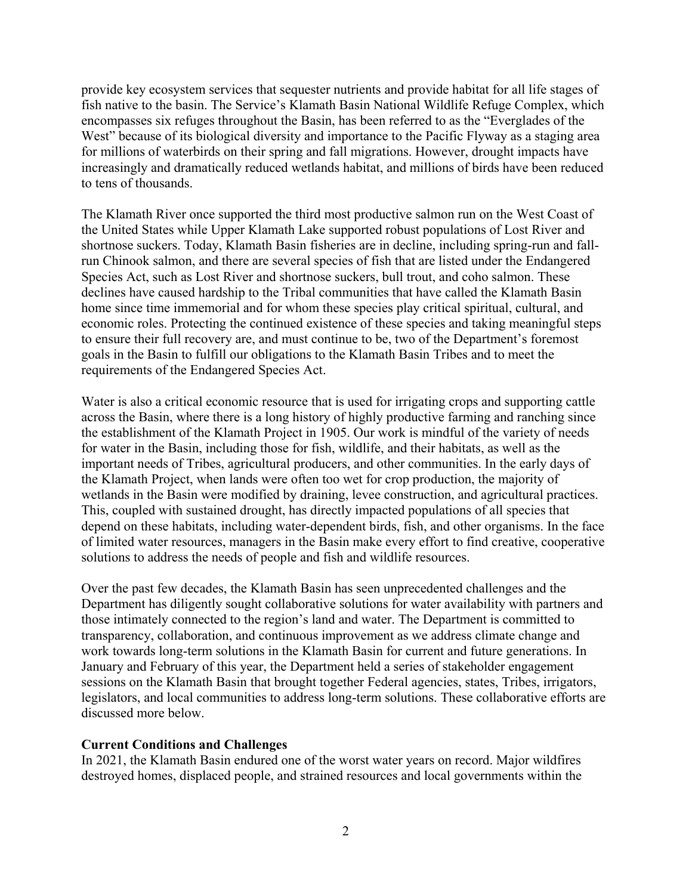provide key ecosystem services that sequester nutrients and provide habitat for all life stages of fish native to the basin. The Service's Klamath Basin National Wildlife Refuge Complex, which encompasses six refuges throughout the Basin, has been referred to as the "Everglades of the West" because of its biological diversity and importance to the Pacific Flyway as a staging area for millions of waterbirds on their spring and fall migrations. However, drought impacts have increasingly and dramatically reduced wetlands habitat, and millions of birds have been reduced to tens of thousands.

The Klamath River once supported the third most productive salmon run on the West Coast of the United States while Upper Klamath Lake supported robust populations of Lost River and shortnose suckers. Today, Klamath Basin fisheries are in decline, including spring-run and fallrun Chinook salmon, and there are several species of fish that are listed under the Endangered Species Act, such as Lost River and shortnose suckers, bull trout, and coho salmon. These declines have caused hardship to the Tribal communities that have called the Klamath Basin home since time immemorial and for whom these species play critical spiritual, cultural, and economic roles. Protecting the continued existence of these species and taking meaningful steps to ensure their full recovery are, and must continue to be, two of the Department's foremost goals in the Basin to fulfill our obligations to the Klamath Basin Tribes and to meet the requirements of the Endangered Species Act.

Water is also a critical economic resource that is used for irrigating crops and supporting cattle across the Basin, where there is a long history of highly productive farming and ranching since the establishment of the Klamath Project in 1905. Our work is mindful of the variety of needs for water in the Basin, including those for fish, wildlife, and their habitats, as well as the important needs of Tribes, agricultural producers, and other communities. In the early days of the Klamath Project, when lands were often too wet for crop production, the majority of wetlands in the Basin were modified by draining, levee construction, and agricultural practices. This, coupled with sustained drought, has directly impacted populations of all species that depend on these habitats, including water-dependent birds, fish, and other organisms. In the face of limited water resources, managers in the Basin make every effort to find creative, cooperative solutions to address the needs of people and fish and wildlife resources.

Over the past few decades, the Klamath Basin has seen unprecedented challenges and the Department has diligently sought collaborative solutions for water availability with partners and those intimately connected to the region's land and water. The Department is committed to transparency, collaboration, and continuous improvement as we address climate change and work towards long-term solutions in the Klamath Basin for current and future generations. In January and February of this year, the Department held a series of stakeholder engagement sessions on the Klamath Basin that brought together Federal agencies, states, Tribes, irrigators, legislators, and local communities to address long-term solutions. These collaborative efforts are discussed more below.

#### **Current Conditions and Challenges**

In 2021, the Klamath Basin endured one of the worst water years on record. Major wildfires destroyed homes, displaced people, and strained resources and local governments within the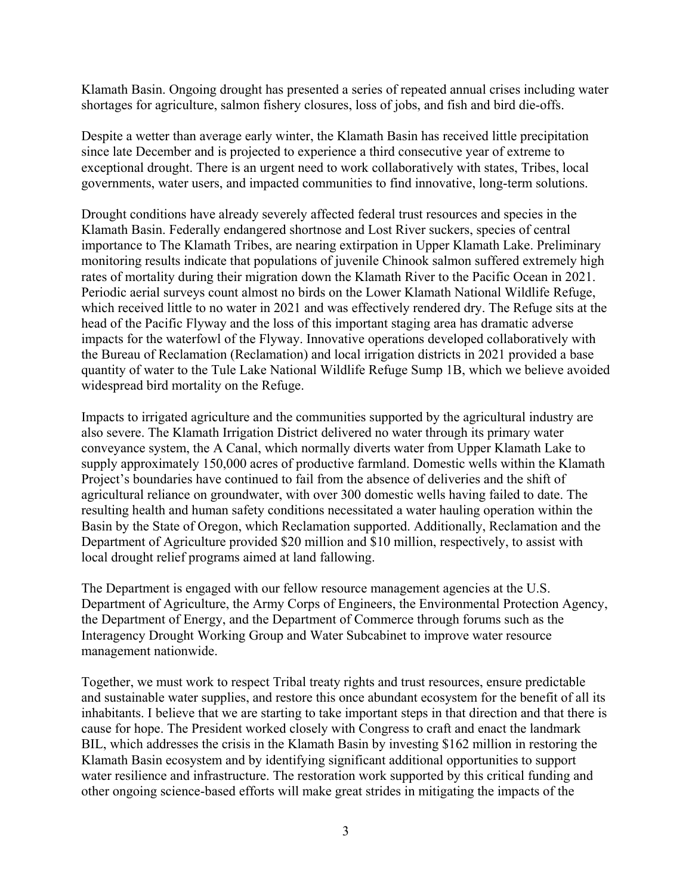Klamath Basin. Ongoing drought has presented a series of repeated annual crises including water shortages for agriculture, salmon fishery closures, loss of jobs, and fish and bird die-offs.

Despite a wetter than average early winter, the Klamath Basin has received little precipitation since late December and is projected to experience a third consecutive year of extreme to exceptional drought. There is an urgent need to work collaboratively with states, Tribes, local governments, water users, and impacted communities to find innovative, long-term solutions.

Drought conditions have already severely affected federal trust resources and species in the Klamath Basin. Federally endangered shortnose and Lost River suckers, species of central importance to The Klamath Tribes, are nearing extirpation in Upper Klamath Lake. Preliminary monitoring results indicate that populations of juvenile Chinook salmon suffered extremely high rates of mortality during their migration down the Klamath River to the Pacific Ocean in 2021. Periodic aerial surveys count almost no birds on the Lower Klamath National Wildlife Refuge, which received little to no water in 2021 and was effectively rendered dry. The Refuge sits at the head of the Pacific Flyway and the loss of this important staging area has dramatic adverse impacts for the waterfowl of the Flyway. Innovative operations developed collaboratively with the Bureau of Reclamation (Reclamation) and local irrigation districts in 2021 provided a base quantity of water to the Tule Lake National Wildlife Refuge Sump 1B, which we believe avoided widespread bird mortality on the Refuge.

Impacts to irrigated agriculture and the communities supported by the agricultural industry are also severe. The Klamath Irrigation District delivered no water through its primary water conveyance system, the A Canal, which normally diverts water from Upper Klamath Lake to supply approximately 150,000 acres of productive farmland. Domestic wells within the Klamath Project's boundaries have continued to fail from the absence of deliveries and the shift of agricultural reliance on groundwater, with over 300 domestic wells having failed to date. The resulting health and human safety conditions necessitated a water hauling operation within the Basin by the State of Oregon, which Reclamation supported. Additionally, Reclamation and the Department of Agriculture provided \$20 million and \$10 million, respectively, to assist with local drought relief programs aimed at land fallowing.

The Department is engaged with our fellow resource management agencies at the U.S. Department of Agriculture, the Army Corps of Engineers, the Environmental Protection Agency, the Department of Energy, and the Department of Commerce through forums such as the Interagency Drought Working Group and Water Subcabinet to improve water resource management nationwide.

Together, we must work to respect Tribal treaty rights and trust resources, ensure predictable and sustainable water supplies, and restore this once abundant ecosystem for the benefit of all its inhabitants. I believe that we are starting to take important steps in that direction and that there is cause for hope. The President worked closely with Congress to craft and enact the landmark BIL, which addresses the crisis in the Klamath Basin by investing \$162 million in restoring the Klamath Basin ecosystem and by identifying significant additional opportunities to support water resilience and infrastructure. The restoration work supported by this critical funding and other ongoing science-based efforts will make great strides in mitigating the impacts of the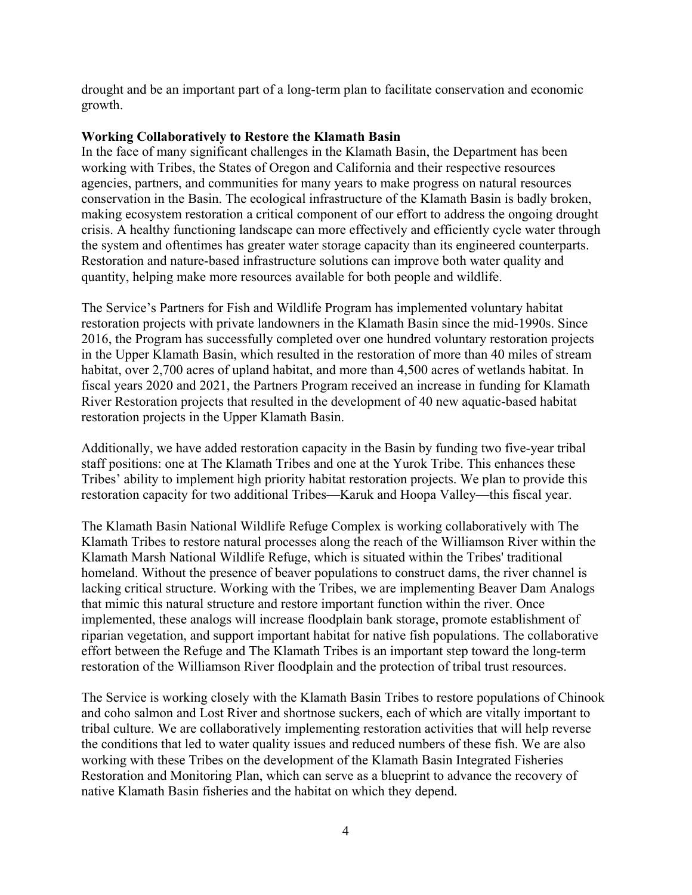drought and be an important part of a long-term plan to facilitate conservation and economic growth.

### **Working Collaboratively to Restore the Klamath Basin**

In the face of many significant challenges in the Klamath Basin, the Department has been working with Tribes, the States of Oregon and California and their respective resources agencies, partners, and communities for many years to make progress on natural resources conservation in the Basin. The ecological infrastructure of the Klamath Basin is badly broken, making ecosystem restoration a critical component of our effort to address the ongoing drought crisis. A healthy functioning landscape can more effectively and efficiently cycle water through the system and oftentimes has greater water storage capacity than its engineered counterparts. Restoration and nature-based infrastructure solutions can improve both water quality and quantity, helping make more resources available for both people and wildlife.

The Service's Partners for Fish and Wildlife Program has implemented voluntary habitat restoration projects with private landowners in the Klamath Basin since the mid-1990s. Since 2016, the Program has successfully completed over one hundred voluntary restoration projects in the Upper Klamath Basin, which resulted in the restoration of more than 40 miles of stream habitat, over 2,700 acres of upland habitat, and more than 4,500 acres of wetlands habitat. In fiscal years 2020 and 2021, the Partners Program received an increase in funding for Klamath River Restoration projects that resulted in the development of 40 new aquatic-based habitat restoration projects in the Upper Klamath Basin.

Additionally, we have added restoration capacity in the Basin by funding two five-year tribal staff positions: one at The Klamath Tribes and one at the Yurok Tribe. This enhances these Tribes' ability to implement high priority habitat restoration projects. We plan to provide this restoration capacity for two additional Tribes—Karuk and Hoopa Valley—this fiscal year.

The Klamath Basin National Wildlife Refuge Complex is working collaboratively with The Klamath Tribes to restore natural processes along the reach of the Williamson River within the Klamath Marsh National Wildlife Refuge, which is situated within the Tribes' traditional homeland. Without the presence of beaver populations to construct dams, the river channel is lacking critical structure. Working with the Tribes, we are implementing Beaver Dam Analogs that mimic this natural structure and restore important function within the river. Once implemented, these analogs will increase floodplain bank storage, promote establishment of riparian vegetation, and support important habitat for native fish populations. The collaborative effort between the Refuge and The Klamath Tribes is an important step toward the long-term restoration of the Williamson River floodplain and the protection of tribal trust resources.

The Service is working closely with the Klamath Basin Tribes to restore populations of Chinook and coho salmon and Lost River and shortnose suckers, each of which are vitally important to tribal culture. We are collaboratively implementing restoration activities that will help reverse the conditions that led to water quality issues and reduced numbers of these fish. We are also working with these Tribes on the development of the Klamath Basin Integrated Fisheries Restoration and Monitoring Plan, which can serve as a blueprint to advance the recovery of native Klamath Basin fisheries and the habitat on which they depend.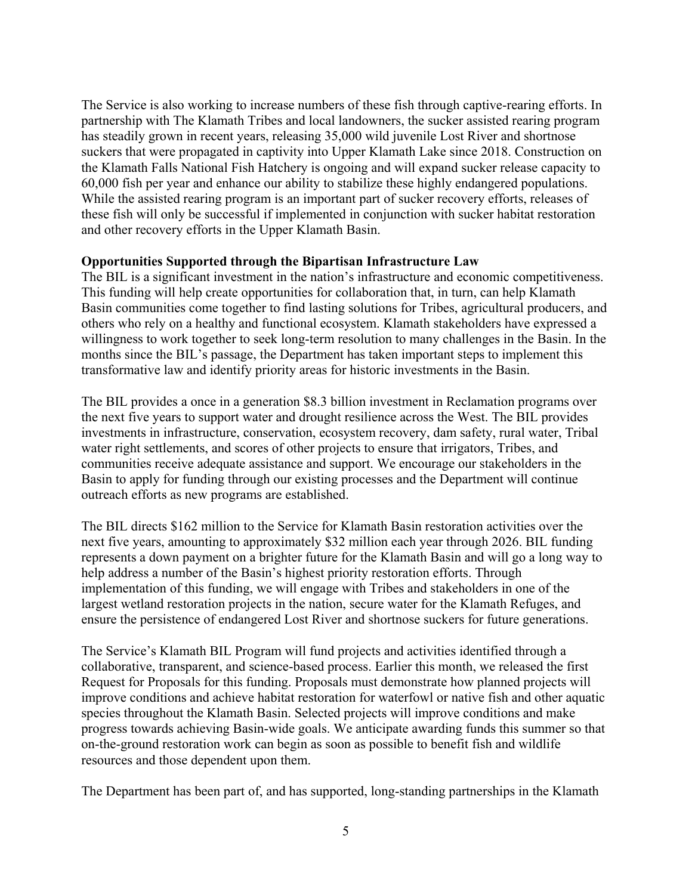The Service is also working to increase numbers of these fish through captive-rearing efforts. In partnership with The Klamath Tribes and local landowners, the sucker assisted rearing program has steadily grown in recent years, releasing 35,000 wild juvenile Lost River and shortnose suckers that were propagated in captivity into Upper Klamath Lake since 2018. Construction on the Klamath Falls National Fish Hatchery is ongoing and will expand sucker release capacity to 60,000 fish per year and enhance our ability to stabilize these highly endangered populations. While the assisted rearing program is an important part of sucker recovery efforts, releases of these fish will only be successful if implemented in conjunction with sucker habitat restoration and other recovery efforts in the Upper Klamath Basin.

#### **Opportunities Supported through the Bipartisan Infrastructure Law**

The BIL is a significant investment in the nation's infrastructure and economic competitiveness. This funding will help create opportunities for collaboration that, in turn, can help Klamath Basin communities come together to find lasting solutions for Tribes, agricultural producers, and others who rely on a healthy and functional ecosystem. Klamath stakeholders have expressed a willingness to work together to seek long-term resolution to many challenges in the Basin. In the months since the BIL's passage, the Department has taken important steps to implement this transformative law and identify priority areas for historic investments in the Basin.

The BIL provides a once in a generation \$8.3 billion investment in Reclamation programs over the next five years to support water and drought resilience across the West. The BIL provides investments in infrastructure, conservation, ecosystem recovery, dam safety, rural water, Tribal water right settlements, and scores of other projects to ensure that irrigators, Tribes, and communities receive adequate assistance and support. We encourage our stakeholders in the Basin to apply for funding through our existing processes and the Department will continue outreach efforts as new programs are established.

The BIL directs \$162 million to the Service for Klamath Basin restoration activities over the next five years, amounting to approximately \$32 million each year through 2026. BIL funding represents a down payment on a brighter future for the Klamath Basin and will go a long way to help address a number of the Basin's highest priority restoration efforts. Through implementation of this funding, we will engage with Tribes and stakeholders in one of the largest wetland restoration projects in the nation, secure water for the Klamath Refuges, and ensure the persistence of endangered Lost River and shortnose suckers for future generations.

The Service's Klamath BIL Program will fund projects and activities identified through a collaborative, transparent, and science-based process. Earlier this month, we released the first Request for Proposals for this funding. Proposals must demonstrate how planned projects will improve conditions and achieve habitat restoration for waterfowl or native fish and other aquatic species throughout the Klamath Basin. Selected projects will improve conditions and make progress towards achieving Basin-wide goals. We anticipate awarding funds this summer so that on-the-ground restoration work can begin as soon as possible to benefit fish and wildlife resources and those dependent upon them.

The Department has been part of, and has supported, long-standing partnerships in the Klamath